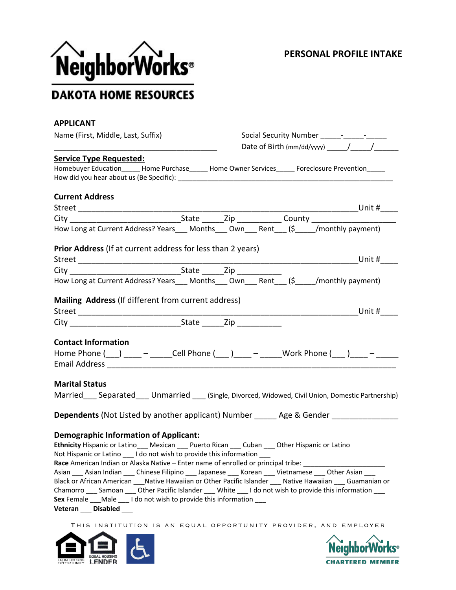

# **APPLICANT**

| Name (First, Middle, Last, Suffix)                                                                                                                                                                                                                                                                                                                                                                                                                                                                    |                                                                                                                                                                                                                            |  |  |  |
|-------------------------------------------------------------------------------------------------------------------------------------------------------------------------------------------------------------------------------------------------------------------------------------------------------------------------------------------------------------------------------------------------------------------------------------------------------------------------------------------------------|----------------------------------------------------------------------------------------------------------------------------------------------------------------------------------------------------------------------------|--|--|--|
|                                                                                                                                                                                                                                                                                                                                                                                                                                                                                                       |                                                                                                                                                                                                                            |  |  |  |
| <b>Service Type Requested:</b>                                                                                                                                                                                                                                                                                                                                                                                                                                                                        | Homebuyer Education_______Home Purchase_______Home Owner Services_______Foreclosure Prevention______                                                                                                                       |  |  |  |
| <b>Current Address</b>                                                                                                                                                                                                                                                                                                                                                                                                                                                                                |                                                                                                                                                                                                                            |  |  |  |
|                                                                                                                                                                                                                                                                                                                                                                                                                                                                                                       |                                                                                                                                                                                                                            |  |  |  |
|                                                                                                                                                                                                                                                                                                                                                                                                                                                                                                       |                                                                                                                                                                                                                            |  |  |  |
|                                                                                                                                                                                                                                                                                                                                                                                                                                                                                                       | How Long at Current Address? Years___ Months___ Own___ Rent___ (\$_____/monthly payment)                                                                                                                                   |  |  |  |
| Prior Address (If at current address for less than 2 years)                                                                                                                                                                                                                                                                                                                                                                                                                                           |                                                                                                                                                                                                                            |  |  |  |
|                                                                                                                                                                                                                                                                                                                                                                                                                                                                                                       |                                                                                                                                                                                                                            |  |  |  |
|                                                                                                                                                                                                                                                                                                                                                                                                                                                                                                       |                                                                                                                                                                                                                            |  |  |  |
|                                                                                                                                                                                                                                                                                                                                                                                                                                                                                                       | How Long at Current Address? Years___ Months___ Own___ Rent___ (\$_____/monthly payment)                                                                                                                                   |  |  |  |
| Mailing Address (If different from current address)                                                                                                                                                                                                                                                                                                                                                                                                                                                   |                                                                                                                                                                                                                            |  |  |  |
|                                                                                                                                                                                                                                                                                                                                                                                                                                                                                                       |                                                                                                                                                                                                                            |  |  |  |
|                                                                                                                                                                                                                                                                                                                                                                                                                                                                                                       |                                                                                                                                                                                                                            |  |  |  |
| <b>Contact Information</b>                                                                                                                                                                                                                                                                                                                                                                                                                                                                            | Home Phone (12) 2002 - Cell Phone (2003) 2002 - 2002 Work Phone (2004) 2002 - 2004                                                                                                                                         |  |  |  |
| <b>Marital Status</b>                                                                                                                                                                                                                                                                                                                                                                                                                                                                                 | Married Separated Unmarried (Single, Divorced, Widowed, Civil Union, Domestic Partnership)<br>Dependents (Not Listed by another applicant) Number ______ Age & Gender _______________                                      |  |  |  |
| <b>Demographic Information of Applicant:</b><br>Ethnicity Hispanic or Latino___ Mexican ___ Puerto Rican ___ Cuban ___ Other Hispanic or Latino<br>Not Hispanic or Latino ____ I do not wish to provide this information ____<br>Race American Indian or Alaska Native - Enter name of enrolled or principal tribe: ______<br>Asian Asian Indian Chinese Filipino Japanese Korean Vietnamese Other Asian<br>Sex Female ___ Male ___ I do not wish to provide this information ___<br>Veteran Disabled | Black or African American ___ Native Hawaiian or Other Pacific Islander ___ Native Hawaiian ___ Guamanian or<br>Chamorro ___ Samoan ___ Other Pacific Islander ___ White ___ I do not wish to provide this information ___ |  |  |  |
|                                                                                                                                                                                                                                                                                                                                                                                                                                                                                                       | THIS INSTITUTION IS AN EQUAL OPPORTUNITY PROVIDER, AND EMPLOYER                                                                                                                                                            |  |  |  |



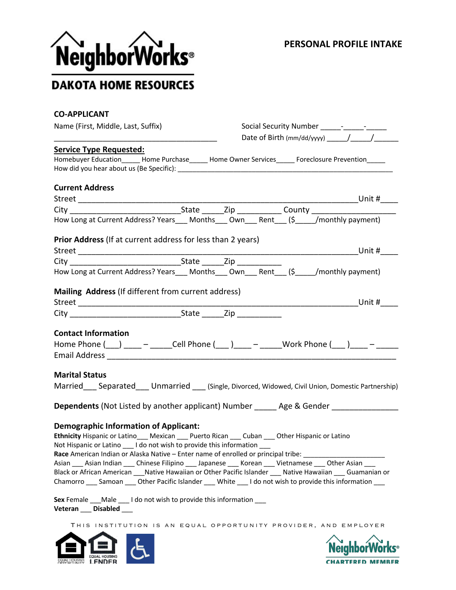

# **CO-APPLICANT**

| Name (First, Middle, Last, Suffix)                                                                                                                                                                                                                                                                                                                                                                                                                                                                                                                                                                                                                                                                                                          |                                                                                                      |                                    |  |  |  |
|---------------------------------------------------------------------------------------------------------------------------------------------------------------------------------------------------------------------------------------------------------------------------------------------------------------------------------------------------------------------------------------------------------------------------------------------------------------------------------------------------------------------------------------------------------------------------------------------------------------------------------------------------------------------------------------------------------------------------------------------|------------------------------------------------------------------------------------------------------|------------------------------------|--|--|--|
|                                                                                                                                                                                                                                                                                                                                                                                                                                                                                                                                                                                                                                                                                                                                             |                                                                                                      |                                    |  |  |  |
| <b>Service Type Requested:</b>                                                                                                                                                                                                                                                                                                                                                                                                                                                                                                                                                                                                                                                                                                              | Homebuyer Education______ Home Purchase______ Home Owner Services______ Foreclosure Prevention______ |                                    |  |  |  |
| <b>Current Address</b>                                                                                                                                                                                                                                                                                                                                                                                                                                                                                                                                                                                                                                                                                                                      |                                                                                                      |                                    |  |  |  |
|                                                                                                                                                                                                                                                                                                                                                                                                                                                                                                                                                                                                                                                                                                                                             |                                                                                                      | _______________________Unit #__    |  |  |  |
|                                                                                                                                                                                                                                                                                                                                                                                                                                                                                                                                                                                                                                                                                                                                             |                                                                                                      |                                    |  |  |  |
| How Long at Current Address? Years___ Months___ Own___ Rent___ (\$_____/monthly payment)                                                                                                                                                                                                                                                                                                                                                                                                                                                                                                                                                                                                                                                    |                                                                                                      |                                    |  |  |  |
| Prior Address (If at current address for less than 2 years)<br>Street _______________________                                                                                                                                                                                                                                                                                                                                                                                                                                                                                                                                                                                                                                               |                                                                                                      | __________________________  Unit # |  |  |  |
|                                                                                                                                                                                                                                                                                                                                                                                                                                                                                                                                                                                                                                                                                                                                             |                                                                                                      |                                    |  |  |  |
|                                                                                                                                                                                                                                                                                                                                                                                                                                                                                                                                                                                                                                                                                                                                             |                                                                                                      |                                    |  |  |  |
| Mailing Address (If different from current address)                                                                                                                                                                                                                                                                                                                                                                                                                                                                                                                                                                                                                                                                                         |                                                                                                      |                                    |  |  |  |
|                                                                                                                                                                                                                                                                                                                                                                                                                                                                                                                                                                                                                                                                                                                                             |                                                                                                      |                                    |  |  |  |
| <b>Contact Information</b><br>Home Phone ( ___ ) _____ - ______Cell Phone ( ___ ) ____ - ______Work Phone ( ___ ) ____ - ______<br><b>Marital Status</b><br>Married Separated Unmarried (Single, Divorced, Widowed, Civil Union, Domestic Partnership)                                                                                                                                                                                                                                                                                                                                                                                                                                                                                      |                                                                                                      |                                    |  |  |  |
| Dependents (Not Listed by another applicant) Number ______ Age & Gender _______________                                                                                                                                                                                                                                                                                                                                                                                                                                                                                                                                                                                                                                                     |                                                                                                      |                                    |  |  |  |
| <b>Demographic Information of Applicant:</b><br>Ethnicity Hispanic or Latino __ Mexican ___ Puerto Rican ___ Cuban ___ Other Hispanic or Latino<br>Not Hispanic or Latino ____ I do not wish to provide this information ____<br>Race American Indian or Alaska Native - Enter name of enrolled or principal tribe: ______<br>Asian ___ Asian Indian ___ Chinese Filipino ___ Japanese ___ Korean ___ Vietnamese ___ Other Asian ___<br>Black or African American ___ Native Hawaiian or Other Pacific Islander ___ Native Hawaiian ___ Guamanian or<br>Chamorro ___ Samoan ___ Other Pacific Islander ___ White ___ I do not wish to provide this information ___<br>Sex Female ___Male ____I do not wish to provide this information ____ |                                                                                                      |                                    |  |  |  |
| Veteran ___ Disabled                                                                                                                                                                                                                                                                                                                                                                                                                                                                                                                                                                                                                                                                                                                        |                                                                                                      |                                    |  |  |  |



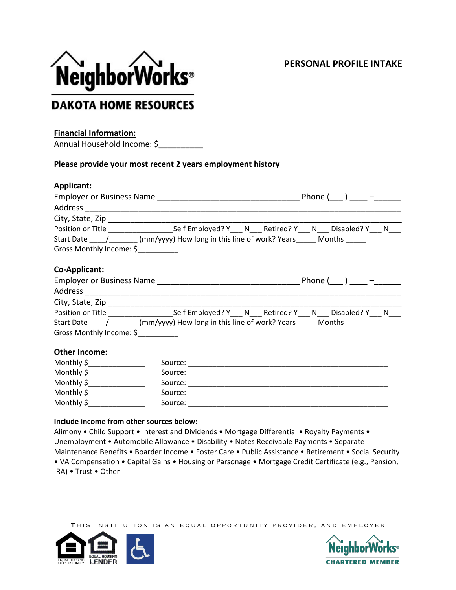

# **PERSONAL PROFILE INTAKE**

# **DAKOTA HOME RESOURCES**

## **Financial Information:**

Annual Household Income: \$\_\_\_\_\_\_\_\_\_\_

## **Please provide your most recent 2 years employment history**

## **Applicant:**

| <b>Employer or Business Name</b> | Phone (<br><u>en al componente de la componente de la componente de la componente de la componente de la componente de la co</u> |
|----------------------------------|----------------------------------------------------------------------------------------------------------------------------------|
| Address                          |                                                                                                                                  |
| City, State, Zip                 |                                                                                                                                  |
| Position or Title                | Self Employed? Y N Retired? Y N Disabled? Y<br>N.                                                                                |
| Start Date                       | (mm/yyyy) How long in this line of work? Years<br>Months                                                                         |
| Gross Monthly Income: \$         |                                                                                                                                  |

## **Co-Applicant:**

| <b>Employer or Business Name</b> | Phone (                                                  |
|----------------------------------|----------------------------------------------------------|
| Address                          |                                                          |
| City, State, Zip                 |                                                          |
| Position or Title                | Self Employed? Y N Retired? Y<br>Disabled? Y<br>N<br>N.  |
| Start Date                       | (mm/yyyy) How long in this line of work? Years<br>Months |
| Gross Monthly Income: \$         |                                                          |

## **Other Income:**

| Monthly \$ | Source: |
|------------|---------|
| Monthly \$ | Source: |
| Monthly \$ | Source: |
| Monthly \$ | Source: |
| Monthly \$ | Source: |

#### **Include income from other sources below:**

Alimony • Child Support • Interest and Dividends • Mortgage Differential • Royalty Payments • Unemployment • Automobile Allowance • Disability • Notes Receivable Payments • Separate Maintenance Benefits • Boarder Income • Foster Care • Public Assistance • Retirement • Social Security • VA Compensation • Capital Gains • Housing or Parsonage • Mortgage Credit Certificate (e.g., Pension, IRA) • Trust • Other



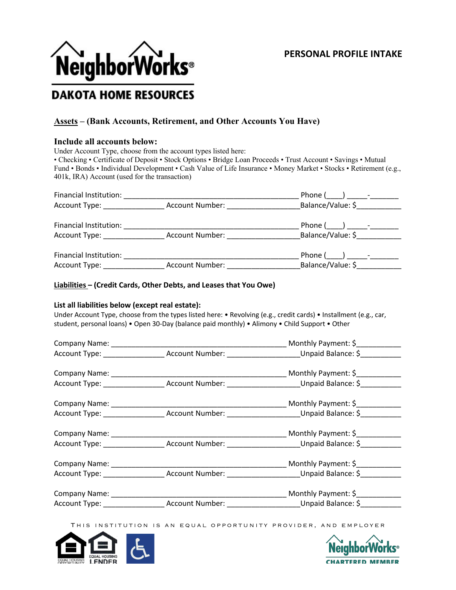

# **DAKOTA HOME RESOURCES**

# **Assets – (Bank Accounts, Retirement, and Other Accounts You Have)**

## **Include all accounts below:**

Under Account Type, choose from the account types listed here:

• Checking • Certificate of Deposit • Stock Options • Bridge Loan Proceeds • Trust Account • Savings • Mutual Fund • Bonds • Individual Development • Cash Value of Life Insurance • Money Market • Stocks • Retirement (e.g., 401k, IRA) Account (used for the transaction)

| Financial Institution: |                 | Phone $($ $)$ $-$              |
|------------------------|-----------------|--------------------------------|
| Account Type:          | Account Number: | Balance/Value: \$              |
|                        |                 |                                |
| Financial Institution: |                 |                                |
| Account Type: 2000     | Account Number: | Balance/Value: \$              |
|                        |                 |                                |
| Financial Institution: |                 | Phone (_____) ______-_________ |
|                        | Account Number: | Balance/Value: \$              |
|                        |                 |                                |

## **Liabilities – (Credit Cards, Other Debts, and Leases that You Owe)**

#### **List all liabilities below (except real estate):**

Under Account Type, choose from the types listed here: • Revolving (e.g., credit cards) • Installment (e.g., car, student, personal loans) • Open 30-Day (balance paid monthly) • Alimony • Child Support • Other

|                                |                 | Monthly Payment: \$                                                                                            |
|--------------------------------|-----------------|----------------------------------------------------------------------------------------------------------------|
|                                |                 | Account Type: ______________________Account Number: _______________________Unpaid Balance: \$_____________     |
|                                |                 | Monthly Payment: \$                                                                                            |
|                                |                 | Account Type: _______________________Account Number: __________________________Unpaid Balance: \$_____________ |
|                                |                 |                                                                                                                |
|                                |                 | Account Type: _______________________Account Number: ________________________Unpaid Balance: \$____________    |
|                                |                 | ____________________ Monthly Payment: \$_____________                                                          |
|                                |                 | Account Type: _______________________Account Number: ________________________Unpaid Balance: \$                |
|                                |                 | _ Monthly Payment: \$____________                                                                              |
|                                |                 | Account Type: ______________________Account Number: _________________________Unpaid Balance: \$                |
|                                |                 | Monthly Payment: \$__________                                                                                  |
| Account Type: ________________ | Account Number: | Unpaid Balance: \$                                                                                             |



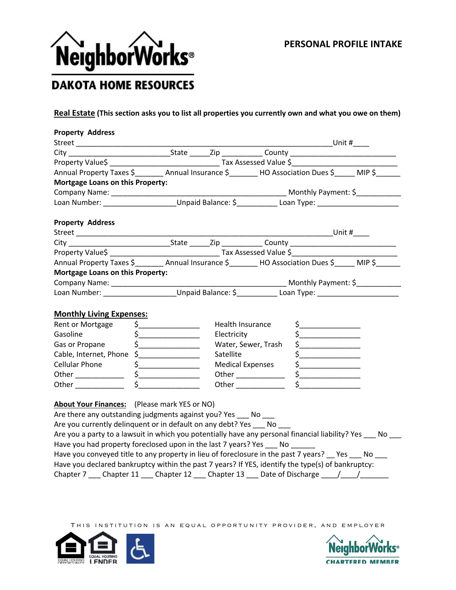

# **DAKOTA HOME RESOURCES**

**Real Estate (This section asks you to list all properties you currently own and what you owe on them)** 

| <b>Property Address</b>                                                                                    |                         |  |                                                                                                                                                                                                                                                                                                                                                     |
|------------------------------------------------------------------------------------------------------------|-------------------------|--|-----------------------------------------------------------------------------------------------------------------------------------------------------------------------------------------------------------------------------------------------------------------------------------------------------------------------------------------------------|
| Street                                                                                                     |                         |  | Unit $#$ <sub>_____</sub><br><u> 1989 - John Barnett, fransk politiker</u>                                                                                                                                                                                                                                                                          |
|                                                                                                            |                         |  |                                                                                                                                                                                                                                                                                                                                                     |
|                                                                                                            |                         |  |                                                                                                                                                                                                                                                                                                                                                     |
| Annual Property Taxes \$_______ Annual Insurance \$_______ HO Association Dues \$____ MIP \$_____          |                         |  |                                                                                                                                                                                                                                                                                                                                                     |
| <b>Mortgage Loans on this Property:</b>                                                                    |                         |  |                                                                                                                                                                                                                                                                                                                                                     |
|                                                                                                            |                         |  |                                                                                                                                                                                                                                                                                                                                                     |
|                                                                                                            |                         |  |                                                                                                                                                                                                                                                                                                                                                     |
| <b>Property Address</b>                                                                                    |                         |  |                                                                                                                                                                                                                                                                                                                                                     |
|                                                                                                            |                         |  | <b>Example 1</b> Unit #                                                                                                                                                                                                                                                                                                                             |
|                                                                                                            |                         |  |                                                                                                                                                                                                                                                                                                                                                     |
|                                                                                                            |                         |  |                                                                                                                                                                                                                                                                                                                                                     |
|                                                                                                            |                         |  |                                                                                                                                                                                                                                                                                                                                                     |
| Mortgage Loans on this Property:                                                                           |                         |  |                                                                                                                                                                                                                                                                                                                                                     |
|                                                                                                            |                         |  |                                                                                                                                                                                                                                                                                                                                                     |
|                                                                                                            |                         |  |                                                                                                                                                                                                                                                                                                                                                     |
|                                                                                                            |                         |  |                                                                                                                                                                                                                                                                                                                                                     |
| <b>Monthly Living Expenses:</b>                                                                            |                         |  |                                                                                                                                                                                                                                                                                                                                                     |
| Rent or Mortgage $\zeta$ _______________                                                                   | Health Insurance        |  | $\frac{1}{2}$                                                                                                                                                                                                                                                                                                                                       |
| Gasoline                                                                                                   | Electricity             |  | $\frac{1}{2}$                                                                                                                                                                                                                                                                                                                                       |
|                                                                                                            | Water, Sewer, Trash     |  | $\frac{1}{2}$                                                                                                                                                                                                                                                                                                                                       |
| Cable, Internet, Phone \$_______________                                                                   | Satellite               |  | $\frac{1}{2}$                                                                                                                                                                                                                                                                                                                                       |
|                                                                                                            | <b>Medical Expenses</b> |  | $\begin{picture}(20,20) \put(0,0){\line(1,0){10}} \put(15,0){\line(1,0){10}} \put(15,0){\line(1,0){10}} \put(15,0){\line(1,0){10}} \put(15,0){\line(1,0){10}} \put(15,0){\line(1,0){10}} \put(15,0){\line(1,0){10}} \put(15,0){\line(1,0){10}} \put(15,0){\line(1,0){10}} \put(15,0){\line(1,0){10}} \put(15,0){\line(1,0){10}} \put(15,0){\line(1$ |
|                                                                                                            | Other _____________     |  | $\begin{picture}(20,10) \put(0,0){\line(1,0){10}} \put(15,0){\line(1,0){10}} \put(15,0){\line(1,0){10}} \put(15,0){\line(1,0){10}} \put(15,0){\line(1,0){10}} \put(15,0){\line(1,0){10}} \put(15,0){\line(1,0){10}} \put(15,0){\line(1,0){10}} \put(15,0){\line(1,0){10}} \put(15,0){\line(1,0){10}} \put(15,0){\line(1,0){10}} \put(15,0){\line(1$ |
|                                                                                                            |                         |  | $\frac{1}{2}$                                                                                                                                                                                                                                                                                                                                       |
|                                                                                                            |                         |  |                                                                                                                                                                                                                                                                                                                                                     |
| About Your Finances: (Please mark YES or NO)                                                               |                         |  |                                                                                                                                                                                                                                                                                                                                                     |
| Are there any outstanding judgments against you? Yes ___ No                                                |                         |  |                                                                                                                                                                                                                                                                                                                                                     |
| Are you currently delinquent or in default on any debt? Yes ____ No                                        |                         |  |                                                                                                                                                                                                                                                                                                                                                     |
| Are you a party to a lawsuit in which you potentially have any personal financial liability? Yes ___ No __ |                         |  |                                                                                                                                                                                                                                                                                                                                                     |
| Have you had property foreclosed upon in the last 7 years? Yes ____ No                                     |                         |  |                                                                                                                                                                                                                                                                                                                                                     |
| Have you conveyed title to any property in lieu of foreclosure in the past 7 years? __ Yes ___ No __       |                         |  |                                                                                                                                                                                                                                                                                                                                                     |
| Have you declared bankruptcy within the past 7 years? If YES, identify the type(s) of bankruptcy:          |                         |  |                                                                                                                                                                                                                                                                                                                                                     |
| Chapter 7 Chapter 11 Chapter 12 Chapter 13 Date of Discharge / /                                           |                         |  |                                                                                                                                                                                                                                                                                                                                                     |
|                                                                                                            |                         |  |                                                                                                                                                                                                                                                                                                                                                     |